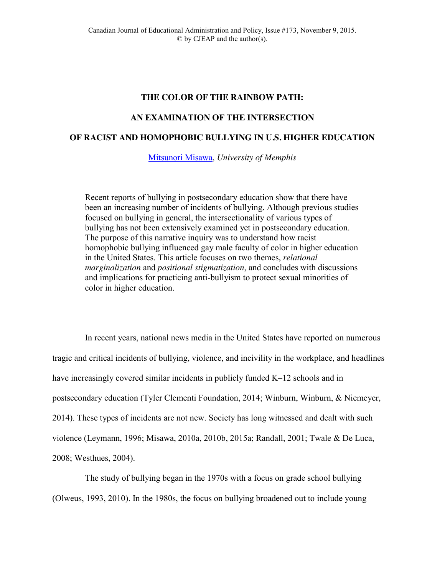# **THE COLOR OF THE RAINBOW PATH:**

## **AN EXAMINATION OF THE INTERSECTION**

# **OF RACIST AND HOMOPHOBIC BULLYING IN U.S. HIGHER EDUCATION**

[Mitsunori Misawa,](mailto:mmisawa@memphis.edu) *University of Memphis*

Recent reports of bullying in postsecondary education show that there have been an increasing number of incidents of bullying. Although previous studies focused on bullying in general, the intersectionality of various types of bullying has not been extensively examined yet in postsecondary education. The purpose of this narrative inquiry was to understand how racist homophobic bullying influenced gay male faculty of color in higher education in the United States. This article focuses on two themes, *relational marginalization* and *positional stigmatization*, and concludes with discussions and implications for practicing anti-bullyism to protect sexual minorities of color in higher education.

In recent years, national news media in the United States have reported on numerous tragic and critical incidents of bullying, violence, and incivility in the workplace, and headlines have increasingly covered similar incidents in publicly funded K–12 schools and in postsecondary education (Tyler Clementi Foundation, 2014; Winburn, Winburn, & Niemeyer, 2014). These types of incidents are not new. Society has long witnessed and dealt with such violence (Leymann, 1996; Misawa, 2010a, 2010b, 2015a; Randall, 2001; Twale & De Luca, 2008; Westhues, 2004).

The study of bullying began in the 1970s with a focus on grade school bullying (Olweus, 1993, 2010). In the 1980s, the focus on bullying broadened out to include young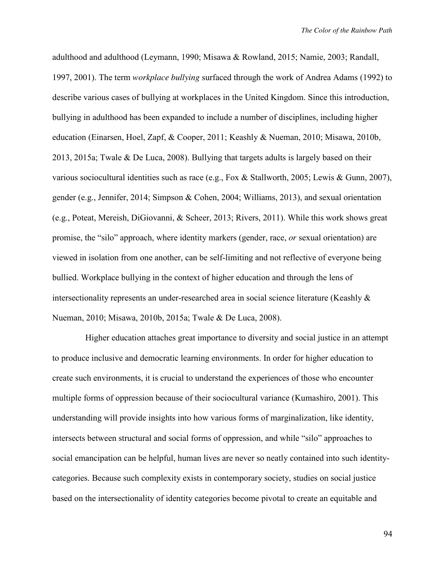adulthood and adulthood (Leymann, 1990; Misawa & Rowland, 2015; Namie, 2003; Randall, 1997, 2001). The term *workplace bullying* surfaced through the work of Andrea Adams (1992) to describe various cases of bullying at workplaces in the United Kingdom. Since this introduction, bullying in adulthood has been expanded to include a number of disciplines, including higher education (Einarsen, Hoel, Zapf, & Cooper, 2011; Keashly & Nueman, 2010; Misawa, 2010b, 2013, 2015a; Twale & De Luca, 2008). Bullying that targets adults is largely based on their various sociocultural identities such as race (e.g., Fox & Stallworth, 2005; Lewis & Gunn, 2007), gender (e.g., Jennifer, 2014; Simpson & Cohen, 2004; Williams, 2013), and sexual orientation (e.g., Poteat, Mereish, DiGiovanni, & Scheer, 2013; Rivers, 2011). While this work shows great promise, the "silo" approach, where identity markers (gender, race, *or* sexual orientation) are viewed in isolation from one another, can be self-limiting and not reflective of everyone being bullied. Workplace bullying in the context of higher education and through the lens of intersectionality represents an under-researched area in social science literature (Keashly & Nueman, 2010; Misawa, 2010b, 2015a; Twale & De Luca, 2008).

Higher education attaches great importance to diversity and social justice in an attempt to produce inclusive and democratic learning environments. In order for higher education to create such environments, it is crucial to understand the experiences of those who encounter multiple forms of oppression because of their sociocultural variance (Kumashiro, 2001). This understanding will provide insights into how various forms of marginalization, like identity, intersects between structural and social forms of oppression, and while "silo" approaches to social emancipation can be helpful, human lives are never so neatly contained into such identitycategories. Because such complexity exists in contemporary society, studies on social justice based on the intersectionality of identity categories become pivotal to create an equitable and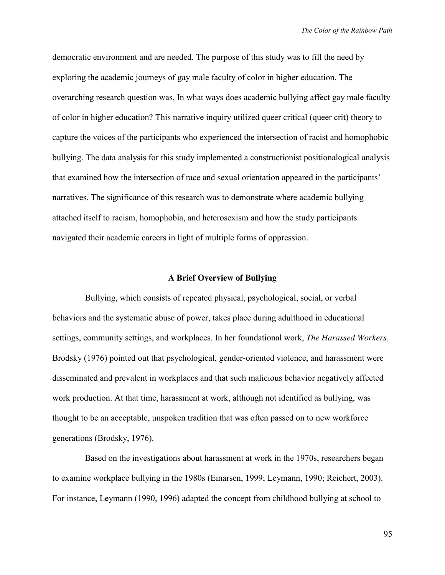democratic environment and are needed. The purpose of this study was to fill the need by exploring the academic journeys of gay male faculty of color in higher education. The overarching research question was, In what ways does academic bullying affect gay male faculty of color in higher education? This narrative inquiry utilized queer critical (queer crit) theory to capture the voices of the participants who experienced the intersection of racist and homophobic bullying. The data analysis for this study implemented a constructionist positionalogical analysis that examined how the intersection of race and sexual orientation appeared in the participants' narratives. The significance of this research was to demonstrate where academic bullying attached itself to racism, homophobia, and heterosexism and how the study participants navigated their academic careers in light of multiple forms of oppression.

### **A Brief Overview of Bullying**

Bullying, which consists of repeated physical, psychological, social, or verbal behaviors and the systematic abuse of power, takes place during adulthood in educational settings, community settings, and workplaces. In her foundational work, *The Harassed Workers,* Brodsky (1976) pointed out that psychological, gender-oriented violence, and harassment were disseminated and prevalent in workplaces and that such malicious behavior negatively affected work production. At that time, harassment at work, although not identified as bullying, was thought to be an acceptable, unspoken tradition that was often passed on to new workforce generations (Brodsky, 1976).

Based on the investigations about harassment at work in the 1970s, researchers began to examine workplace bullying in the 1980s (Einarsen, 1999; Leymann, 1990; Reichert, 2003). For instance, Leymann (1990, 1996) adapted the concept from childhood bullying at school to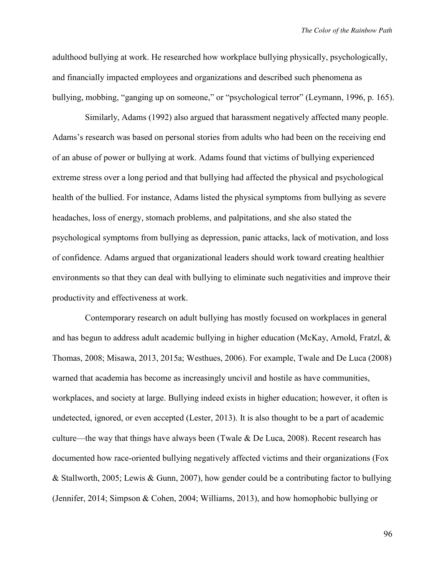adulthood bullying at work. He researched how workplace bullying physically, psychologically, and financially impacted employees and organizations and described such phenomena as bullying, mobbing, "ganging up on someone," or "psychological terror" (Leymann, 1996, p. 165).

Similarly, Adams (1992) also argued that harassment negatively affected many people. Adams's research was based on personal stories from adults who had been on the receiving end of an abuse of power or bullying at work. Adams found that victims of bullying experienced extreme stress over a long period and that bullying had affected the physical and psychological health of the bullied. For instance, Adams listed the physical symptoms from bullying as severe headaches, loss of energy, stomach problems, and palpitations, and she also stated the psychological symptoms from bullying as depression, panic attacks, lack of motivation, and loss of confidence. Adams argued that organizational leaders should work toward creating healthier environments so that they can deal with bullying to eliminate such negativities and improve their productivity and effectiveness at work.

Contemporary research on adult bullying has mostly focused on workplaces in general and has begun to address adult academic bullying in higher education (McKay, Arnold, Fratzl,  $\&$ Thomas, 2008; Misawa, 2013, 2015a; Westhues, 2006). For example, Twale and De Luca (2008) warned that academia has become as increasingly uncivil and hostile as have communities, workplaces, and society at large. Bullying indeed exists in higher education; however, it often is undetected, ignored, or even accepted (Lester, 2013). It is also thought to be a part of academic culture—the way that things have always been (Twale  $\&$  De Luca, 2008). Recent research has documented how race-oriented bullying negatively affected victims and their organizations (Fox & Stallworth, 2005; Lewis & Gunn, 2007), how gender could be a contributing factor to bullying (Jennifer, 2014; Simpson & Cohen, 2004; Williams, 2013), and how homophobic bullying or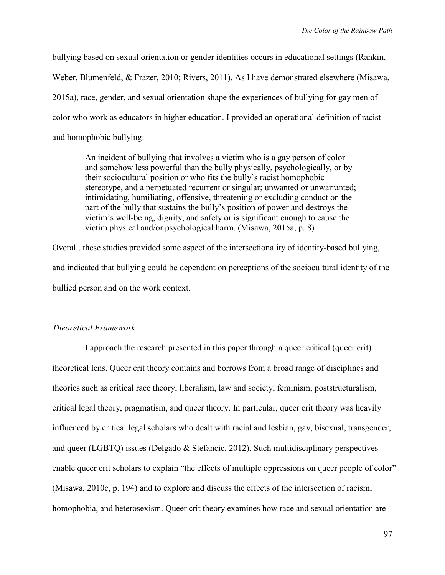bullying based on sexual orientation or gender identities occurs in educational settings (Rankin, Weber, Blumenfeld, & Frazer, 2010; Rivers, 2011). As I have demonstrated elsewhere (Misawa, 2015a), race, gender, and sexual orientation shape the experiences of bullying for gay men of color who work as educators in higher education. I provided an operational definition of racist and homophobic bullying:

An incident of bullying that involves a victim who is a gay person of color and somehow less powerful than the bully physically, psychologically, or by their sociocultural position or who fits the bully's racist homophobic stereotype, and a perpetuated recurrent or singular; unwanted or unwarranted; intimidating, humiliating, offensive, threatening or excluding conduct on the part of the bully that sustains the bully's position of power and destroys the victim's well-being, dignity, and safety or is significant enough to cause the victim physical and/or psychological harm. (Misawa, 2015a, p. 8)

Overall, these studies provided some aspect of the intersectionality of identity-based bullying, and indicated that bullying could be dependent on perceptions of the sociocultural identity of the bullied person and on the work context.

# *Theoretical Framework*

I approach the research presented in this paper through a queer critical (queer crit) theoretical lens. Queer crit theory contains and borrows from a broad range of disciplines and theories such as critical race theory, liberalism, law and society, feminism, poststructuralism, critical legal theory, pragmatism, and queer theory. In particular, queer crit theory was heavily influenced by critical legal scholars who dealt with racial and lesbian, gay, bisexual, transgender, and queer (LGBTQ) issues (Delgado & Stefancic, 2012). Such multidisciplinary perspectives enable queer crit scholars to explain "the effects of multiple oppressions on queer people of color" (Misawa, 2010c, p. 194) and to explore and discuss the effects of the intersection of racism, homophobia, and heterosexism. Queer crit theory examines how race and sexual orientation are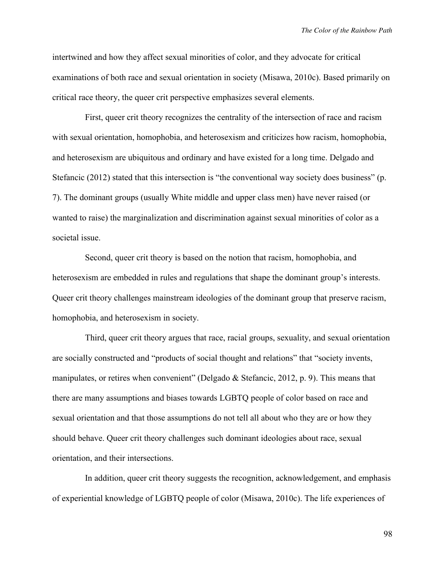intertwined and how they affect sexual minorities of color, and they advocate for critical examinations of both race and sexual orientation in society (Misawa, 2010c). Based primarily on critical race theory, the queer crit perspective emphasizes several elements.

First, queer crit theory recognizes the centrality of the intersection of race and racism with sexual orientation, homophobia, and heterosexism and criticizes how racism, homophobia, and heterosexism are ubiquitous and ordinary and have existed for a long time. Delgado and Stefancic (2012) stated that this intersection is "the conventional way society does business" (p. 7). The dominant groups (usually White middle and upper class men) have never raised (or wanted to raise) the marginalization and discrimination against sexual minorities of color as a societal issue.

Second, queer crit theory is based on the notion that racism, homophobia, and heterosexism are embedded in rules and regulations that shape the dominant group's interests. Queer crit theory challenges mainstream ideologies of the dominant group that preserve racism, homophobia, and heterosexism in society.

Third, queer crit theory argues that race, racial groups, sexuality, and sexual orientation are socially constructed and "products of social thought and relations" that "society invents, manipulates, or retires when convenient" (Delgado & Stefancic, 2012, p. 9). This means that there are many assumptions and biases towards LGBTQ people of color based on race and sexual orientation and that those assumptions do not tell all about who they are or how they should behave. Queer crit theory challenges such dominant ideologies about race, sexual orientation, and their intersections.

In addition, queer crit theory suggests the recognition, acknowledgement, and emphasis of experiential knowledge of LGBTQ people of color (Misawa, 2010c). The life experiences of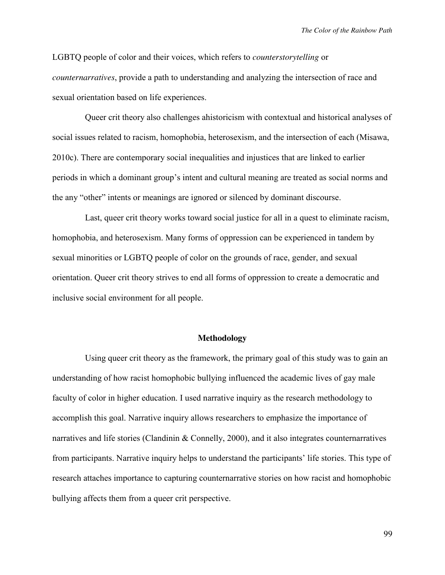LGBTQ people of color and their voices, which refers to *counterstorytelling* or *counternarratives*, provide a path to understanding and analyzing the intersection of race and sexual orientation based on life experiences.

Queer crit theory also challenges ahistoricism with contextual and historical analyses of social issues related to racism, homophobia, heterosexism, and the intersection of each (Misawa, 2010c). There are contemporary social inequalities and injustices that are linked to earlier periods in which a dominant group's intent and cultural meaning are treated as social norms and the any "other" intents or meanings are ignored or silenced by dominant discourse.

Last, queer crit theory works toward social justice for all in a quest to eliminate racism, homophobia, and heterosexism. Many forms of oppression can be experienced in tandem by sexual minorities or LGBTQ people of color on the grounds of race, gender, and sexual orientation. Queer crit theory strives to end all forms of oppression to create a democratic and inclusive social environment for all people.

## **Methodology**

Using queer crit theory as the framework, the primary goal of this study was to gain an understanding of how racist homophobic bullying influenced the academic lives of gay male faculty of color in higher education. I used narrative inquiry as the research methodology to accomplish this goal. Narrative inquiry allows researchers to emphasize the importance of narratives and life stories (Clandinin & Connelly, 2000), and it also integrates counternarratives from participants. Narrative inquiry helps to understand the participants' life stories. This type of research attaches importance to capturing counternarrative stories on how racist and homophobic bullying affects them from a queer crit perspective.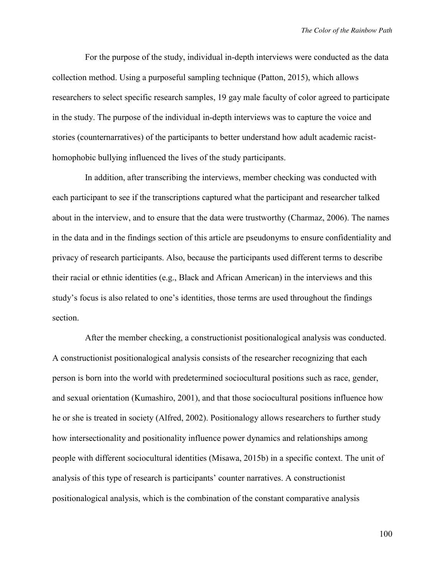For the purpose of the study, individual in-depth interviews were conducted as the data collection method. Using a purposeful sampling technique (Patton, 2015), which allows researchers to select specific research samples, 19 gay male faculty of color agreed to participate in the study. The purpose of the individual in-depth interviews was to capture the voice and stories (counternarratives) of the participants to better understand how adult academic racisthomophobic bullying influenced the lives of the study participants.

In addition, after transcribing the interviews, member checking was conducted with each participant to see if the transcriptions captured what the participant and researcher talked about in the interview, and to ensure that the data were trustworthy (Charmaz, 2006). The names in the data and in the findings section of this article are pseudonyms to ensure confidentiality and privacy of research participants. Also, because the participants used different terms to describe their racial or ethnic identities (e.g., Black and African American) in the interviews and this study's focus is also related to one's identities, those terms are used throughout the findings section.

After the member checking, a constructionist positionalogical analysis was conducted. A constructionist positionalogical analysis consists of the researcher recognizing that each person is born into the world with predetermined sociocultural positions such as race, gender, and sexual orientation (Kumashiro, 2001), and that those sociocultural positions influence how he or she is treated in society (Alfred, 2002). Positionalogy allows researchers to further study how intersectionality and positionality influence power dynamics and relationships among people with different sociocultural identities (Misawa, 2015b) in a specific context. The unit of analysis of this type of research is participants' counter narratives. A constructionist positionalogical analysis, which is the combination of the constant comparative analysis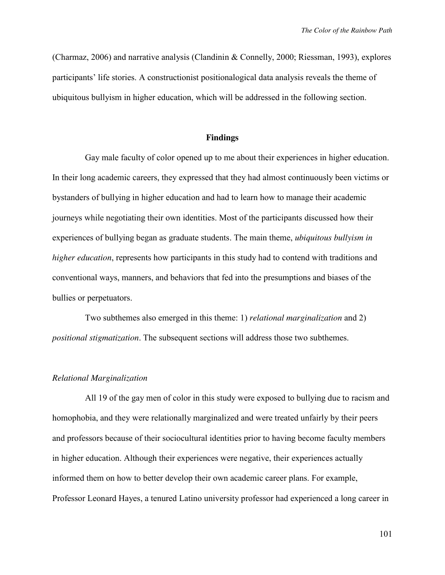(Charmaz, 2006) and narrative analysis (Clandinin & Connelly, 2000; Riessman, 1993), explores participants' life stories. A constructionist positionalogical data analysis reveals the theme of ubiquitous bullyism in higher education, which will be addressed in the following section.

### **Findings**

Gay male faculty of color opened up to me about their experiences in higher education. In their long academic careers, they expressed that they had almost continuously been victims or bystanders of bullying in higher education and had to learn how to manage their academic journeys while negotiating their own identities. Most of the participants discussed how their experiences of bullying began as graduate students. The main theme, *ubiquitous bullyism in higher education*, represents how participants in this study had to contend with traditions and conventional ways, manners, and behaviors that fed into the presumptions and biases of the bullies or perpetuators.

Two subthemes also emerged in this theme: 1) *relational marginalization* and 2) *positional stigmatization*. The subsequent sections will address those two subthemes.

#### *Relational Marginalization*

All 19 of the gay men of color in this study were exposed to bullying due to racism and homophobia, and they were relationally marginalized and were treated unfairly by their peers and professors because of their sociocultural identities prior to having become faculty members in higher education. Although their experiences were negative, their experiences actually informed them on how to better develop their own academic career plans. For example, Professor Leonard Hayes, a tenured Latino university professor had experienced a long career in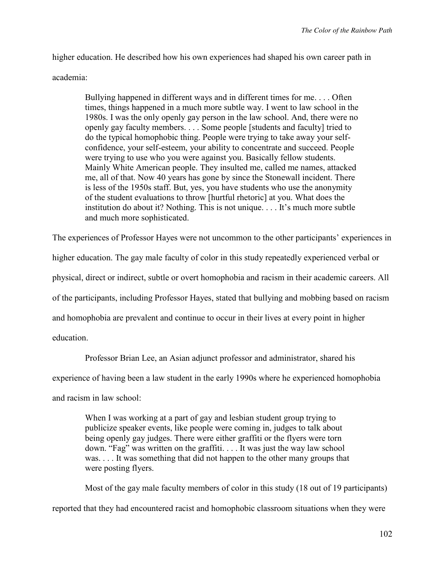higher education. He described how his own experiences had shaped his own career path in

## academia:

Bullying happened in different ways and in different times for me. . . . Often times, things happened in a much more subtle way. I went to law school in the 1980s. I was the only openly gay person in the law school. And, there were no openly gay faculty members. . . . Some people [students and faculty] tried to do the typical homophobic thing. People were trying to take away your selfconfidence, your self-esteem, your ability to concentrate and succeed. People were trying to use who you were against you. Basically fellow students. Mainly White American people. They insulted me, called me names, attacked me, all of that. Now 40 years has gone by since the Stonewall incident. There is less of the 1950s staff. But, yes, you have students who use the anonymity of the student evaluations to throw [hurtful rhetoric] at you. What does the institution do about it? Nothing. This is not unique. . . . It's much more subtle and much more sophisticated.

The experiences of Professor Hayes were not uncommon to the other participants' experiences in

higher education. The gay male faculty of color in this study repeatedly experienced verbal or

physical, direct or indirect, subtle or overt homophobia and racism in their academic careers. All

of the participants, including Professor Hayes, stated that bullying and mobbing based on racism

and homophobia are prevalent and continue to occur in their lives at every point in higher

education.

Professor Brian Lee, an Asian adjunct professor and administrator, shared his

experience of having been a law student in the early 1990s where he experienced homophobia

and racism in law school:

When I was working at a part of gay and lesbian student group trying to publicize speaker events, like people were coming in, judges to talk about being openly gay judges. There were either graffiti or the flyers were torn down. "Fag" was written on the graffiti. . . . It was just the way law school was. . . . It was something that did not happen to the other many groups that were posting flyers.

Most of the gay male faculty members of color in this study (18 out of 19 participants) reported that they had encountered racist and homophobic classroom situations when they were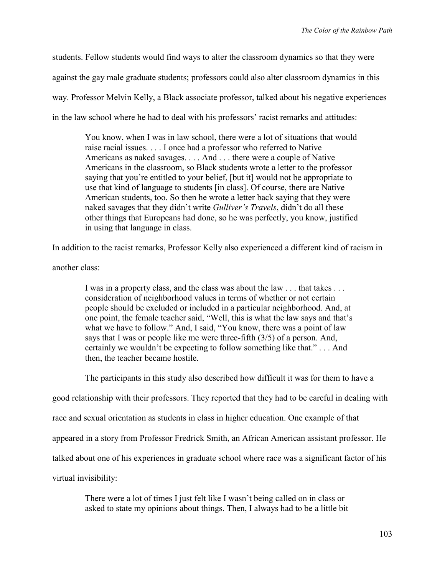students. Fellow students would find ways to alter the classroom dynamics so that they were against the gay male graduate students; professors could also alter classroom dynamics in this way. Professor Melvin Kelly, a Black associate professor, talked about his negative experiences in the law school where he had to deal with his professors' racist remarks and attitudes:

You know, when I was in law school, there were a lot of situations that would raise racial issues. . . . I once had a professor who referred to Native Americans as naked savages. . . . And . . . there were a couple of Native Americans in the classroom, so Black students wrote a letter to the professor saying that you're entitled to your belief, [but it] would not be appropriate to use that kind of language to students [in class]. Of course, there are Native American students, too. So then he wrote a letter back saying that they were naked savages that they didn't write *Gulliver's Travels*, didn't do all these other things that Europeans had done, so he was perfectly, you know, justified in using that language in class.

In addition to the racist remarks, Professor Kelly also experienced a different kind of racism in

another class:

I was in a property class, and the class was about the law . . . that takes . . . consideration of neighborhood values in terms of whether or not certain people should be excluded or included in a particular neighborhood. And, at one point, the female teacher said, "Well, this is what the law says and that's what we have to follow." And, I said, "You know, there was a point of law says that I was or people like me were three-fifth (3/5) of a person. And, certainly we wouldn't be expecting to follow something like that." . . . And then, the teacher became hostile.

The participants in this study also described how difficult it was for them to have a

good relationship with their professors. They reported that they had to be careful in dealing with

race and sexual orientation as students in class in higher education. One example of that

appeared in a story from Professor Fredrick Smith, an African American assistant professor. He

talked about one of his experiences in graduate school where race was a significant factor of his

virtual invisibility:

There were a lot of times I just felt like I wasn't being called on in class or asked to state my opinions about things. Then, I always had to be a little bit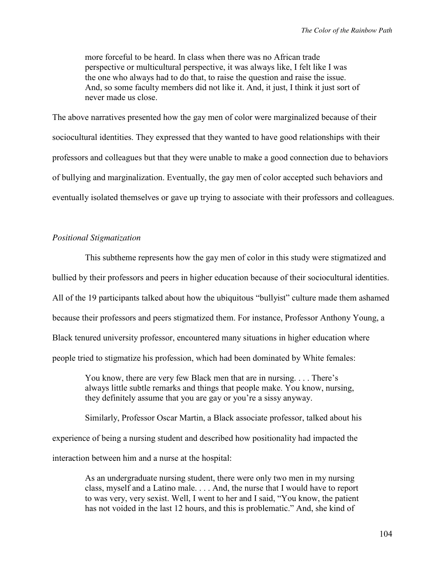more forceful to be heard. In class when there was no African trade perspective or multicultural perspective, it was always like, I felt like I was the one who always had to do that, to raise the question and raise the issue. And, so some faculty members did not like it. And, it just, I think it just sort of never made us close.

The above narratives presented how the gay men of color were marginalized because of their sociocultural identities. They expressed that they wanted to have good relationships with their professors and colleagues but that they were unable to make a good connection due to behaviors of bullying and marginalization. Eventually, the gay men of color accepted such behaviors and eventually isolated themselves or gave up trying to associate with their professors and colleagues.

# *Positional Stigmatization*

This subtheme represents how the gay men of color in this study were stigmatized and bullied by their professors and peers in higher education because of their sociocultural identities. All of the 19 participants talked about how the ubiquitous "bullyist" culture made them ashamed because their professors and peers stigmatized them. For instance, Professor Anthony Young, a Black tenured university professor, encountered many situations in higher education where people tried to stigmatize his profession, which had been dominated by White females:

You know, there are very few Black men that are in nursing. . . . There's always little subtle remarks and things that people make. You know, nursing, they definitely assume that you are gay or you're a sissy anyway.

Similarly, Professor Oscar Martin, a Black associate professor, talked about his experience of being a nursing student and described how positionality had impacted the interaction between him and a nurse at the hospital:

> As an undergraduate nursing student, there were only two men in my nursing class, myself and a Latino male. . . . And, the nurse that I would have to report to was very, very sexist. Well, I went to her and I said, "You know, the patient has not voided in the last 12 hours, and this is problematic." And, she kind of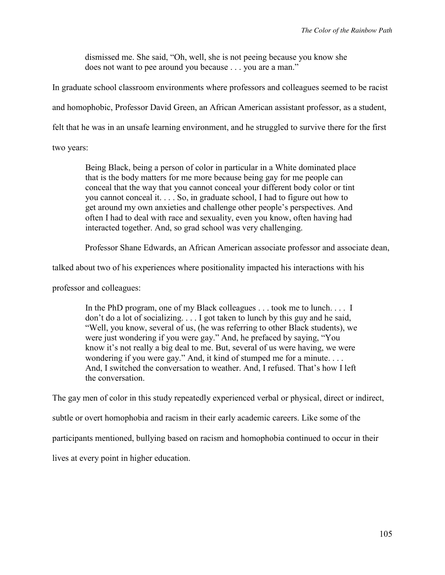dismissed me. She said, "Oh, well, she is not peeing because you know she does not want to pee around you because . . . you are a man."

In graduate school classroom environments where professors and colleagues seemed to be racist

and homophobic, Professor David Green, an African American assistant professor, as a student,

felt that he was in an unsafe learning environment, and he struggled to survive there for the first

two years:

Being Black, being a person of color in particular in a White dominated place that is the body matters for me more because being gay for me people can conceal that the way that you cannot conceal your different body color or tint you cannot conceal it. . . . So, in graduate school, I had to figure out how to get around my own anxieties and challenge other people's perspectives. And often I had to deal with race and sexuality, even you know, often having had interacted together. And, so grad school was very challenging.

Professor Shane Edwards, an African American associate professor and associate dean,

talked about two of his experiences where positionality impacted his interactions with his

professor and colleagues:

In the PhD program, one of my Black colleagues . . . took me to lunch. . . . I don't do a lot of socializing. . . . I got taken to lunch by this guy and he said, "Well, you know, several of us, (he was referring to other Black students), we were just wondering if you were gay." And, he prefaced by saying, "You know it's not really a big deal to me. But, several of us were having, we were wondering if you were gay." And, it kind of stumped me for a minute. . . . And, I switched the conversation to weather. And, I refused. That's how I left the conversation.

The gay men of color in this study repeatedly experienced verbal or physical, direct or indirect, subtle or overt homophobia and racism in their early academic careers. Like some of the participants mentioned, bullying based on racism and homophobia continued to occur in their lives at every point in higher education.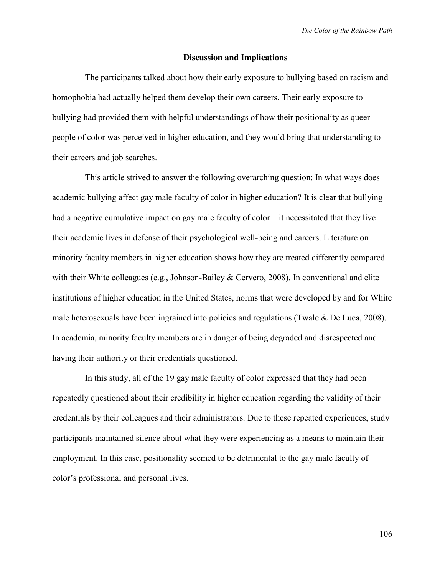#### **Discussion and Implications**

The participants talked about how their early exposure to bullying based on racism and homophobia had actually helped them develop their own careers. Their early exposure to bullying had provided them with helpful understandings of how their positionality as queer people of color was perceived in higher education, and they would bring that understanding to their careers and job searches.

This article strived to answer the following overarching question: In what ways does academic bullying affect gay male faculty of color in higher education? It is clear that bullying had a negative cumulative impact on gay male faculty of color—it necessitated that they live their academic lives in defense of their psychological well-being and careers. Literature on minority faculty members in higher education shows how they are treated differently compared with their White colleagues (e.g., Johnson-Bailey & Cervero, 2008). In conventional and elite institutions of higher education in the United States, norms that were developed by and for White male heterosexuals have been ingrained into policies and regulations (Twale & De Luca, 2008). In academia, minority faculty members are in danger of being degraded and disrespected and having their authority or their credentials questioned.

In this study, all of the 19 gay male faculty of color expressed that they had been repeatedly questioned about their credibility in higher education regarding the validity of their credentials by their colleagues and their administrators. Due to these repeated experiences, study participants maintained silence about what they were experiencing as a means to maintain their employment. In this case, positionality seemed to be detrimental to the gay male faculty of color's professional and personal lives.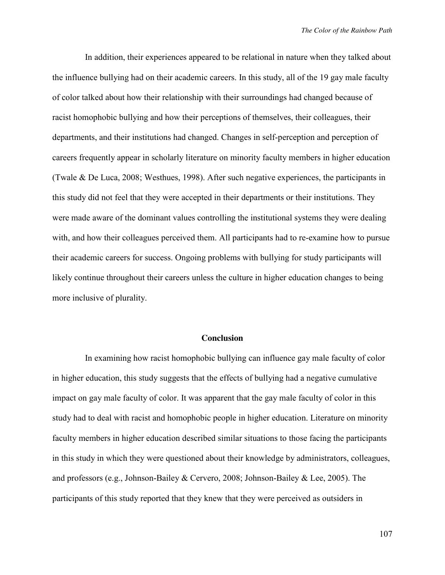In addition, their experiences appeared to be relational in nature when they talked about the influence bullying had on their academic careers. In this study, all of the 19 gay male faculty of color talked about how their relationship with their surroundings had changed because of racist homophobic bullying and how their perceptions of themselves, their colleagues, their departments, and their institutions had changed. Changes in self-perception and perception of careers frequently appear in scholarly literature on minority faculty members in higher education (Twale & De Luca, 2008; Westhues, 1998). After such negative experiences, the participants in this study did not feel that they were accepted in their departments or their institutions. They were made aware of the dominant values controlling the institutional systems they were dealing with, and how their colleagues perceived them. All participants had to re-examine how to pursue their academic careers for success. Ongoing problems with bullying for study participants will likely continue throughout their careers unless the culture in higher education changes to being more inclusive of plurality.

#### **Conclusion**

In examining how racist homophobic bullying can influence gay male faculty of color in higher education, this study suggests that the effects of bullying had a negative cumulative impact on gay male faculty of color. It was apparent that the gay male faculty of color in this study had to deal with racist and homophobic people in higher education. Literature on minority faculty members in higher education described similar situations to those facing the participants in this study in which they were questioned about their knowledge by administrators, colleagues, and professors (e.g., Johnson-Bailey & Cervero, 2008; Johnson-Bailey & Lee, 2005). The participants of this study reported that they knew that they were perceived as outsiders in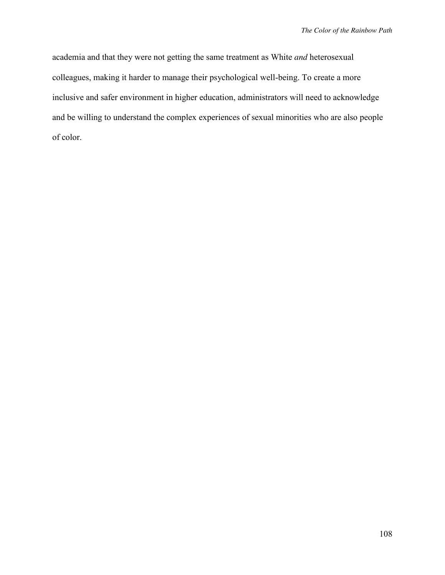academia and that they were not getting the same treatment as White *and* heterosexual colleagues, making it harder to manage their psychological well-being. To create a more inclusive and safer environment in higher education, administrators will need to acknowledge and be willing to understand the complex experiences of sexual minorities who are also people of color.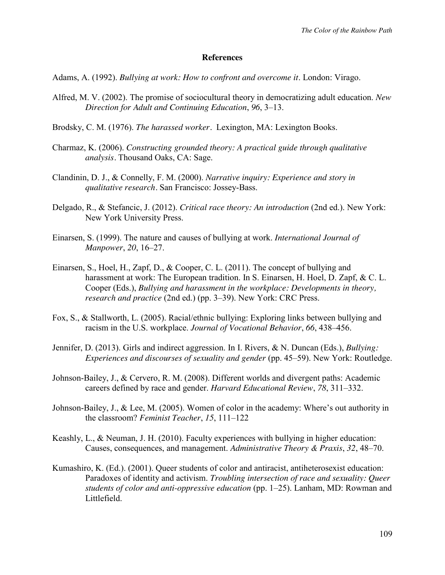## **References**

- Adams, A. (1992). *Bullying at work: How to confront and overcome it*. London: Virago.
- Alfred, M. V. (2002). The promise of sociocultural theory in democratizing adult education. *New Direction for Adult and Continuing Education*, *96*, 3–13.
- Brodsky, C. M. (1976). *The harassed worker.* Lexington, MA: Lexington Books.
- Charmaz, K. (2006). *Constructing grounded theory: A practical guide through qualitative analysis.* Thousand Oaks, CA: Sage.
- Clandinin, D. J., & Connelly, F. M. (2000). *Narrative inquiry: Experience and story in qualitative research.* San Francisco: Jossey-Bass.
- Delgado, R., & Stefancic, J. (2012). *Critical race theory: An introduction* (2nd ed.). New York: New York University Press.
- Einarsen, S. (1999). The nature and causes of bullying at work. *International Journal of Manpower*, *20*, 16–27.
- Einarsen, S., Hoel, H., Zapf, D., & Cooper, C. L. (2011). The concept of bullying and harassment at work: The European tradition. In S. Einarsen, H. Hoel, D. Zapf, & C. L. Cooper (Eds.), *Bullying and harassment in the workplace: Developments in theory, research and practice* (2nd ed.) (pp. 3–39). New York: CRC Press.
- Fox, S., & Stallworth, L. (2005). Racial/ethnic bullying: Exploring links between bullying and racism in the U.S. workplace. *Journal of Vocational Behavior*, *66*, 438–456.
- Jennifer, D. (2013). Girls and indirect aggression. In I. Rivers, & N. Duncan (Eds.), *Bullying: Experiences and discourses of sexuality and gender (pp. 45–59). New York: Routledge.*
- Johnson-Bailey, J., & Cervero, R. M. (2008). Different worlds and divergent paths: Academic careers defined by race and gender. *Harvard Educational Review*, *78*, 311–332.
- Johnson-Bailey, J., & Lee, M. (2005). Women of color in the academy: Where's out authority in the classroom? *Feminist Teacher*, *15*, 111–122
- Keashly, L., & Neuman, J. H. (2010). Faculty experiences with bullying in higher education: Causes, consequences, and management. *Administrative Theory & Praxis*, *32*, 48–70.
- Kumashiro, K. (Ed.). (2001). Queer students of color and antiracist, antiheterosexist education: Paradoxes of identity and activism. *Troubling intersection of race and sexuality: Queer students of color and anti-oppressive education* (pp. 1–25). Lanham, MD: Rowman and Littlefield.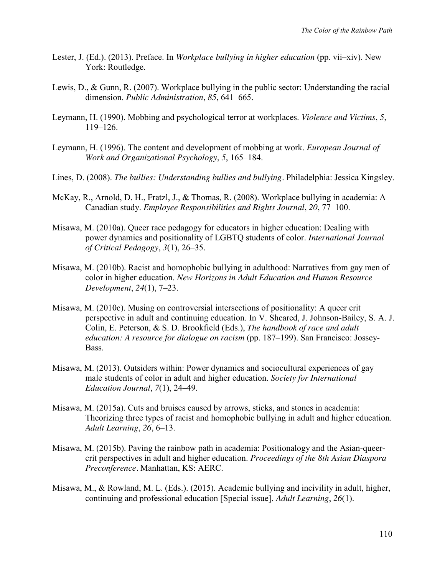- Lester, J. (Ed.). (2013). Preface. In *Workplace bullying in higher education* (pp. vii–xiv). New York: Routledge.
- Lewis, D., & Gunn, R. (2007). Workplace bullying in the public sector: Understanding the racial dimension. *Public Administration*, *85*, 641–665.
- Leymann, H. (1990). Mobbing and psychological terror at workplaces. *Violence and Victims*, *5*, 119–126.
- Leymann, H. (1996). The content and development of mobbing at work. *European Journal of Work and Organizational Psychology*, *5*, 165–184.
- Lines, D. (2008). *The bullies: Understanding bullies and bullying.* Philadelphia: Jessica Kingsley.
- McKay, R., Arnold, D. H., Fratzl, J., & Thomas, R. (2008). Workplace bullying in academia: A Canadian study. *Employee Responsibilities and Rights Journal*, *20*, 77–100.
- Misawa, M. (2010a). Queer race pedagogy for educators in higher education: Dealing with power dynamics and positionality of LGBTQ students of color. *International Journal of Critical Pedagogy*, *3*(1), 26–35.
- Misawa, M. (2010b). Racist and homophobic bullying in adulthood: Narratives from gay men of color in higher education. *New Horizons in Adult Education and Human Resource Development*, *24*(1), 7–23.
- Misawa, M. (2010c). Musing on controversial intersections of positionality: A queer crit perspective in adult and continuing education. In V. Sheared, J. Johnson-Bailey, S. A. J. Colin, E. Peterson, & S. D. Brookfield (Eds.), *The handbook of race and adult education: A resource for dialogue on racism* (pp. 187–199). San Francisco: Jossey-Bass.
- Misawa, M. (2013). Outsiders within: Power dynamics and sociocultural experiences of gay male students of color in adult and higher education. *Society for International Education Journal*, *7*(1), 24–49.
- Misawa, M. (2015a). Cuts and bruises caused by arrows, sticks, and stones in academia: Theorizing three types of racist and homophobic bullying in adult and higher education. *Adult Learning*, *26*, 6–13.
- Misawa, M. (2015b). Paving the rainbow path in academia: Positionalogy and the Asian-queercrit perspectives in adult and higher education. *Proceedings of the 8th Asian Diaspora Preconference.* Manhattan, KS: AERC.
- Misawa, M., & Rowland, M. L. (Eds.). (2015). Academic bullying and incivility in adult, higher, continuing and professional education [Special issue]. *Adult Learning*, *26*(1).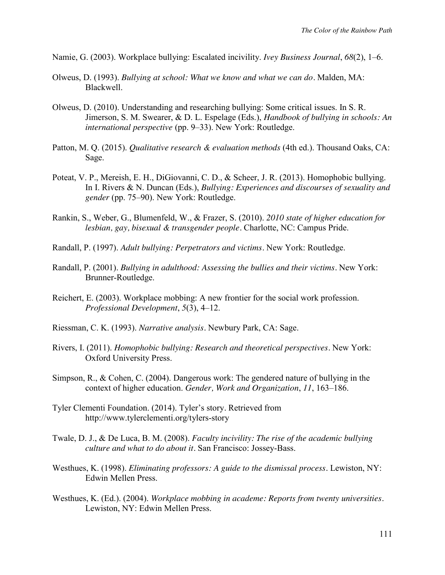- Namie, G. (2003). Workplace bullying: Escalated incivility. *Ivey Business Journal*, *68*(2), 1–6.
- Olweus, D. (1993). *Bullying at school: What we know and what we can do.* Malden, MA: Blackwell.
- Olweus, D. (2010). Understanding and researching bullying: Some critical issues. In S. R. Jimerson, S. M. Swearer, & D. L. Espelage (Eds.), *Handbook of bullying in schools: An international perspective* (pp. 9–33). New York: Routledge.
- Patton, M. Q. (2015). *Qualitative research & evaluation methods* (4th ed.). Thousand Oaks, CA: Sage.
- Poteat, V. P., Mereish, E. H., DiGiovanni, C. D., & Scheer, J. R. (2013). Homophobic bullying. In I. Rivers & N. Duncan (Eds.), *Bullying: Experiences and discourses of sexuality and gender* (pp. 75–90). New York: Routledge.
- Rankin, S., Weber, G., Blumenfeld, W., & Frazer, S. (2010). *2010 state of higher education for lesbian, gay, bisexual & transgender people.* Charlotte, NC: Campus Pride.
- Randall, P. (1997). *Adult bullying: Perpetrators and victims.* New York: Routledge.
- Randall, P. (2001). *Bullying in adulthood: Assessing the bullies and their victims.* New York: Brunner-Routledge.
- Reichert, E. (2003). Workplace mobbing: A new frontier for the social work profession. *Professional Development*, *5*(3), 4–12.
- Riessman, C. K. (1993). *Narrative analysis.* Newbury Park, CA: Sage.
- Rivers, I. (2011). *Homophobic bullying: Research and theoretical perspectives.* New York: Oxford University Press.
- Simpson, R., & Cohen, C. (2004). Dangerous work: The gendered nature of bullying in the context of higher education. *Gender, Work and Organization*, *11*, 163–186.
- Tyler Clementi Foundation. (2014). Tyler's story*.* Retrieved from http://www.tylerclementi.org/tylers-story
- Twale, D. J., & De Luca, B. M. (2008). *Faculty incivility: The rise of the academic bullying culture and what to do about it.* San Francisco: Jossey-Bass.
- Westhues, K. (1998). *Eliminating professors: A guide to the dismissal process.* Lewiston, NY: Edwin Mellen Press.
- Westhues, K. (Ed.). (2004). *Workplace mobbing in academe: Reports from twenty universities.* Lewiston, NY: Edwin Mellen Press.